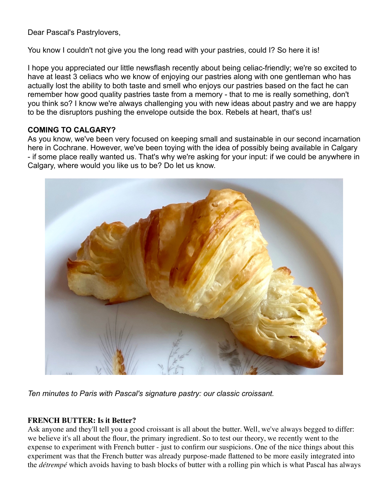Dear Pascal's Pastrylovers,

You know I couldn't not give you the long read with your pastries, could I? So here it is!

I hope you appreciated our little newsflash recently about being celiac-friendly; we're so excited to have at least 3 celiacs who we know of enjoying our pastries along with one gentleman who has actually lost the ability to both taste and smell who enjoys our pastries based on the fact he can remember how good quality pastries taste from a memory - that to me is really something, don't you think so? I know we're always challenging you with new ideas about pastry and we are happy to be the disruptors pushing the envelope outside the box. Rebels at heart, that's us!

## **COMING TO CALGARY?**

As you know, we've been very focused on keeping small and sustainable in our second incarnation here in Cochrane. However, we've been toying with the idea of possibly being available in Calgary - if some place really wanted us. That's why we're asking for your input: if we could be anywhere in Calgary, where would you like us to be? Do let us know.



*Ten minutes to Paris with Pascal's signature pastry: our classic croissant.*

### **FRENCH BUTTER: Is it Better?**

Ask anyone and they'll tell you a good croissant is all about the butter. Well, we've always begged to differ: we believe it's all about the flour, the primary ingredient. So to test our theory, we recently went to the expense to experiment with French butter - just to confirm our suspicions. One of the nice things about this experiment was that the French butter was already purpose-made flattened to be more easily integrated into the *détrempé* which avoids having to bash blocks of butter with a rolling pin which is what Pascal has always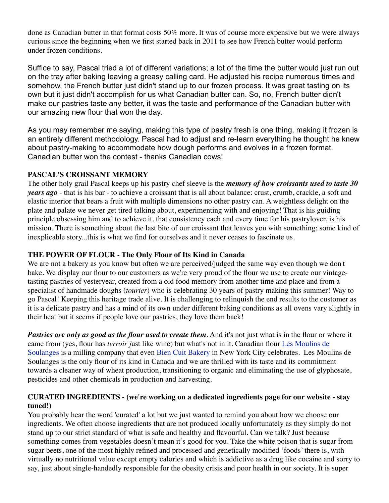done as Canadian butter in that format costs 50% more. It was of course more expensive but we were always curious since the beginning when we first started back in 2011 to see how French butter would perform under frozen conditions.

Suffice to say, Pascal tried a lot of different variations; a lot of the time the butter would just run out on the tray after baking leaving a greasy calling card. He adjusted his recipe numerous times and somehow, the French butter just didn't stand up to our frozen process. It was great tasting on its own but it just didn't accomplish for us what Canadian butter can. So, no, French butter didn't make our pastries taste any better, it was the taste and performance of the Canadian butter with our amazing new flour that won the day.

As you may remember me saying, making this type of pastry fresh is one thing, making it frozen is an entirely different methodology. Pascal had to adjust and re-learn everything he thought he knew about pastry-making to accommodate how dough performs and evolves in a frozen format. Canadian butter won the contest - thanks Canadian cows!

# **PASCAL'S CROISSANT MEMORY**

The other holy grail Pascal keeps up his pastry chef sleeve is the *memory of how croissants used to taste 30 years ago* - that is his bar - to achieve a croissant that is all about balance: crust, crumb, crackle, a soft and elastic interior that bears a fruit with multiple dimensions no other pastry can. A weightless delight on the plate and palate we never get tired talking about, experimenting with and enjoying! That is his guiding principle obsessing him and to achieve it, that consistency each and every time for his pastrylover, is his mission. There is something about the last bite of our croissant that leaves you with something: some kind of inexplicable story...this is what we find for ourselves and it never ceases to fascinate us.

# **THE POWER OF FLOUR - The Only Flour of Its Kind in Canada**

We are not a bakery as you know but often we are perceived/judged the same way even though we don't bake. We display our flour to our customers as we're very proud of the flour we use to create our vintagetasting pastries of yesteryear, created from a old food memory from another time and place and from a specialist of handmade doughs (*tourier*) who is celebrating 30 years of pastry making this summer! Way to go Pascal! Keeping this heritage trade alive. It is challenging to relinquish the end results to the customer as it is a delicate pastry and has a mind of its own under different baking conditions as all ovens vary slightly in their heat but it seems if people love our pastries, they love them back!

*Pastries are only as good as the flour used to create them*. And it's not just what is in the flour or where it came from (yes, flour has *terroir j*ust like wine) but what's not in it. Canadian flour [Les Moulins de](https://moulinsdesoulanges.com/language/en/sustainable-agriculture/)  [Soulanges](https://moulinsdesoulanges.com/language/en/sustainable-agriculture/) is a milling company that even [Bien Cuit Bakery](https://www.biencuit.com/ingredients) in New York City celebrates. Les Moulins de Soulanges is the only flour of its kind in Canada and we are thrilled with its taste and its commitment towards a cleaner way of wheat production, transitioning to organic and eliminating the use of glyphosate, pesticides and other chemicals in production and harvesting.

#### **CURATED INGREDIENTS - (we're working on a dedicated ingredients page for our website - stay tuned!)**

You probably hear the word 'curated' a lot but we just wanted to remind you about how we choose our ingredients. We often choose ingredients that are not produced locally unfortunately as they simply do not stand up to our strict standard of what is safe and healthy and flavourful. Can we talk? Just because something comes from vegetables doesn't mean it's good for you. Take the white poison that is sugar from sugar beets, one of the most highly refined and processed and genetically modified 'foods' there is, with virtually no nutritional value except empty calories and which is addictive as a drug like cocaine and sorry to say, just about single-handedly responsible for the obesity crisis and poor health in our society. It is super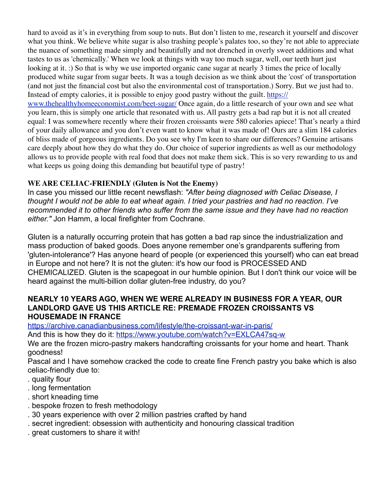hard to avoid as it's in everything from soup to nuts. But don't listen to me, research it yourself and discover what you think. We believe white sugar is also trashing people's palates too, so they're not able to appreciate the nuance of something made simply and beautifully and not drenched in overly sweet additions and what tastes to us as 'chemically.' When we look at things with way too much sugar, well, our teeth hurt just looking at it. :) So that is why we use imported organic cane sugar at nearly 3 times the price of locally produced white sugar from sugar beets. It was a tough decision as we think about the 'cost' of transportation (and not just the financial cost but also the environmental cost of transportation.) Sorry. But we just had to. Instead of empty calories, it is possible to enjoy good pastry without the guilt. [https://](https://www.thehealthyhomeeconomist.com/beet-sugar/)

[www.thehealthyhomeeconomist.com/beet-sugar/](https://www.thehealthyhomeeconomist.com/beet-sugar/) Once again, do a little research of your own and see what you learn, this is simply one article that resonated with us. All pastry gets a bad rap but it is not all created equal: I was somewhere recently where their frozen croissants were 580 calories apiece! That's nearly a third of your daily allowance and you don't even want to know what it was made of! Ours are a slim 184 calories of bliss made of gorgeous ingredients. Do you see why I'm keen to share our differences? Genuine artisans care deeply about how they do what they do. Our choice of superior ingredients as well as our methodology allows us to provide people with real food that does not make them sick. This is so very rewarding to us and what keeps us going doing this demanding but beautiful type of pastry!

# **WE ARE CELIAC-FRIENDLY (Gluten is Not the Enemy)**

In case you missed our little recent newsflash: *"After being diagnosed with Celiac Disease, I thought I would not be able to eat wheat again. I tried your pastries and had no reaction. I've recommended it to other friends who suffer from the same issue and they have had no reaction either."* Jon Hamm, a local firefighter from Cochrane.

Gluten is a naturally occurring protein that has gotten a bad rap since the industrialization and mass production of baked goods. Does anyone remember one's grandparents suffering from 'gluten-intolerance'? Has anyone heard of people (or experienced this yourself) who can eat bread in Europe and not here? It is not the gluten: it's how our food is PROCESSED AND CHEMICALIZED. Gluten is the scapegoat in our humble opinion. But I don't think our voice will be heard against the multi-billion dollar gluten-free industry, do you?

## **NEARLY 10 YEARS AGO, WHEN WE WERE ALREADY IN BUSINESS FOR A YEAR, OUR LANDLORD GAVE US THIS ARTICLE RE: PREMADE FROZEN CROISSANTS VS HOUSEMADE IN FRANCE**

<https://archive.canadianbusiness.com/lifestyle/the-croissant-war-in-paris/>

And this is how they do it:<https://www.youtube.com/watch?v=EXLCA47sq-w>

We are the frozen micro-pastry makers handcrafting croissants for your home and heart. Thank goodness!

Pascal and I have somehow cracked the code to create fine French pastry you bake which is also celiac-friendly due to:

- . quality flour
- . long fermentation
- . short kneading time
- . bespoke frozen to fresh methodology
- . 30 years experience with over 2 million pastries crafted by hand
- . secret ingredient: obsession with authenticity and honouring classical tradition
- . great customers to share it with!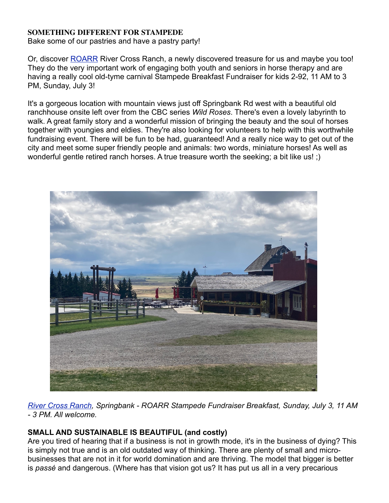## **SOMETHING DIFFERENT FOR STAMPEDE**

Bake some of our pastries and have a pastry party!

Or, discover **ROARR** River Cross Ranch, a newly discovered treasure for us and maybe you too! They do the very important work of engaging both youth and seniors in horse therapy and are having a really cool old-tyme carnival Stampede Breakfast Fundraiser for kids 2-92, 11 AM to 3 PM, Sunday, July 3!

It's a gorgeous location with mountain views just off Springbank Rd west with a beautiful old ranchhouse onsite left over from the CBC series *Wild Roses*. There's even a lovely labyrinth to walk. A great family story and a wonderful mission of bringing the beauty and the soul of horses together with youngies and eldies. They're also looking for volunteers to help with this worthwhile fundraising event. There will be fun to be had, guaranteed! And a really nice way to get out of the city and meet some super friendly people and animals: two words, miniature horses! As well as wonderful gentle retired ranch horses. A true treasure worth the seeking; a bit like us! ;)



*[River Cross Ranch](https://roarr.org/), Springbank - ROARR Stampede Fundraiser Breakfast, Sunday, July 3, 11 AM - 3 PM. All welcome.*

# **SMALL AND SUSTAINABLE IS BEAUTIFUL (and costly)**

Are you tired of hearing that if a business is not in growth mode, it's in the business of dying? This is simply not true and is an old outdated way of thinking. There are plenty of small and microbusinesses that are not in it for world domination and are thriving. The model that bigger is better is *passé* and dangerous. (Where has that vision got us? It has put us all in a very precarious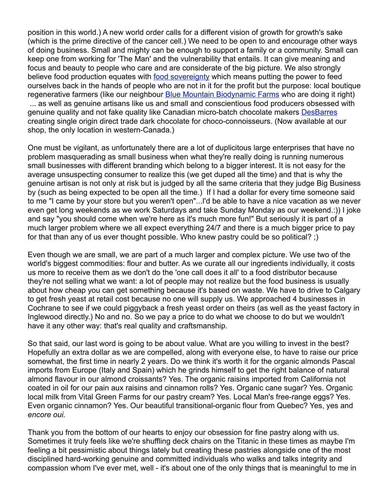position in this world.) A new world order calls for a different vision of growth for growth's sake (which is the prime directive of the cancer cell.) We need to be open to and encourage other ways of doing business. Small and mighty can be enough to support a family or a community. Small can keep one from working for 'The Man' and the vulnerability that entails. It can give meaning and focus and beauty to people who care and are considerate of the big picture. We also strongly believe food production equates with [food sovereignty](https://foodsecurecanada.org/who-we-are/what-food-sovereignty) which means putting the power to feed ourselves back in the hands of people who are not in it for the profit but the purpose: local boutique regenerative farmers (like our neighbour **Blue Mountain Biodynamic Farms** who are doing it right) ... as well as genuine artisans like us and small and conscientious food producers obsessed with genuine quality and not fake quality like Canadian micro-batch chocolate makers [DesBarres](https://www.desbarreschocolate.com/) creating single origin direct trade dark chocolate for choco-connoisseurs. (Now available at our shop, the only location in western-Canada.)

One must be vigilant, as unfortunately there are a lot of duplicitous large enterprises that have no problem masquerading as small business when what they're really doing is running numerous small businesses with different branding which belong to a bigger interest. It is not easy for the average unsuspecting consumer to realize this (we get duped all the time) and that is why the genuine artisan is not only at risk but is judged by all the same criteria that they judge Big Business by (such as being expected to be open all the time.) If I had a dollar for every time someone said to me "I came by your store but you weren't open"...I'd be able to have a nice vacation as we never even get long weekends as we work Saturdays and take Sunday Monday as our weekend.:)) I joke and say "you should come when we're here as it's much more fun!" But seriously it is part of a much larger problem where we all expect everything 24/7 and there is a much bigger price to pay for that than any of us ever thought possible. Who knew pastry could be so political? ;)

Even though we are small, we are part of a much larger and complex picture. We use two of the world's biggest commodities: flour and butter. As we curate all our ingredients individually, it costs us more to receive them as we don't do the 'one call does it all' to a food distributor because they're not selling what we want: a lot of people may not realize but the food business is usually about how cheap you can get something because it's based on waste. We have to drive to Calgary to get fresh yeast at retail cost because no one will supply us. We approached 4 businesses in Cochrane to see if we could piggyback a fresh yeast order on theirs (as well as the yeast factory in Inglewood directly.) No and no. So we pay a price to do what we choose to do but we wouldn't have it any other way: that's real quality and craftsmanship.

So that said, our last word is going to be about value. What are you willing to invest in the best? Hopefully an extra dollar as we are compelled, along with everyone else, to have to raise our price somewhat, the first time in nearly 2 years. Do we think it's worth it for the organic almonds Pascal imports from Europe (Italy and Spain) which he grinds himself to get the right balance of natural almond flavour in our almond croissants? Yes. The organic raisins imported from California not coated in oil for our pain aux raisins and cinnamon rolls? Yes. Organic cane sugar? Yes. Organic local milk from Vital Green Farms for our pastry cream? Yes. Local Man's free-range eggs? Yes. Even organic cinnamon? Yes. Our beautiful transitional-organic flour from Quebec? Yes, yes and *encore oui.* 

Thank you from the bottom of our hearts to enjoy our obsession for fine pastry along with us. Sometimes it truly feels like we're shuffling deck chairs on the Titanic in these times as maybe I'm feeling a bit pessimistic about things lately but creating these pastries alongside one of the most disciplined hard-working genuine and committed individuals who walks and talks integrity and compassion whom I've ever met, well - it's about one of the only things that is meaningful to me in